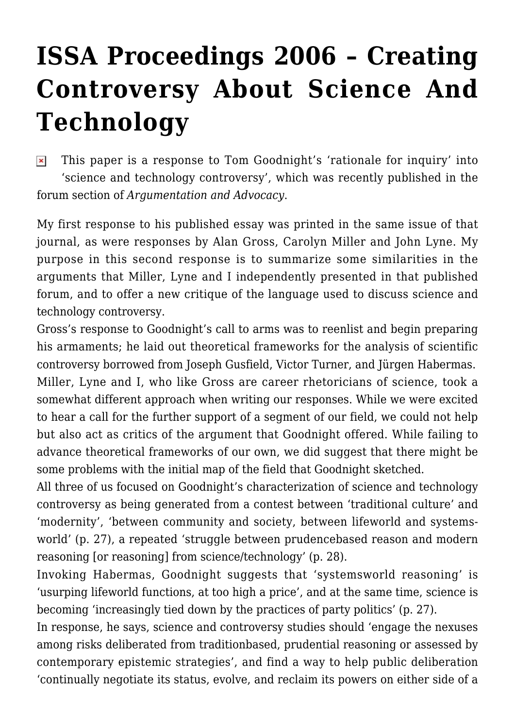## **[ISSA Proceedings 2006 – Creating](https://rozenbergquarterly.com/issa-proceedings-2006-creating-controversy-about-science-and-technology/) [Controversy About Science And](https://rozenbergquarterly.com/issa-proceedings-2006-creating-controversy-about-science-and-technology/) [Technology](https://rozenbergquarterly.com/issa-proceedings-2006-creating-controversy-about-science-and-technology/)**

This paper is a response to Tom Goodnight's 'rationale for inquiry' into  $\pmb{\times}$ 'science and technology controversy', which was recently published in the forum section of *Argumentation and Advocacy*.

My first response to his published essay was printed in the same issue of that journal, as were responses by Alan Gross, Carolyn Miller and John Lyne. My purpose in this second response is to summarize some similarities in the arguments that Miller, Lyne and I independently presented in that published forum, and to offer a new critique of the language used to discuss science and technology controversy.

Gross's response to Goodnight's call to arms was to reenlist and begin preparing his armaments; he laid out theoretical frameworks for the analysis of scientific controversy borrowed from Joseph Gusfield, Victor Turner, and Jürgen Habermas. Miller, Lyne and I, who like Gross are career rhetoricians of science, took a somewhat different approach when writing our responses. While we were excited to hear a call for the further support of a segment of our field, we could not help but also act as critics of the argument that Goodnight offered. While failing to advance theoretical frameworks of our own, we did suggest that there might be some problems with the initial map of the field that Goodnight sketched.

All three of us focused on Goodnight's characterization of science and technology controversy as being generated from a contest between 'traditional culture' and 'modernity', 'between community and society, between lifeworld and systemsworld' (p. 27), a repeated 'struggle between prudencebased reason and modern reasoning [or reasoning] from science/technology' (p. 28).

Invoking Habermas, Goodnight suggests that 'systemsworld reasoning' is 'usurping lifeworld functions, at too high a price', and at the same time, science is becoming 'increasingly tied down by the practices of party politics' (p. 27).

In response, he says, science and controversy studies should 'engage the nexuses among risks deliberated from traditionbased, prudential reasoning or assessed by contemporary epistemic strategies', and find a way to help public deliberation 'continually negotiate its status, evolve, and reclaim its powers on either side of a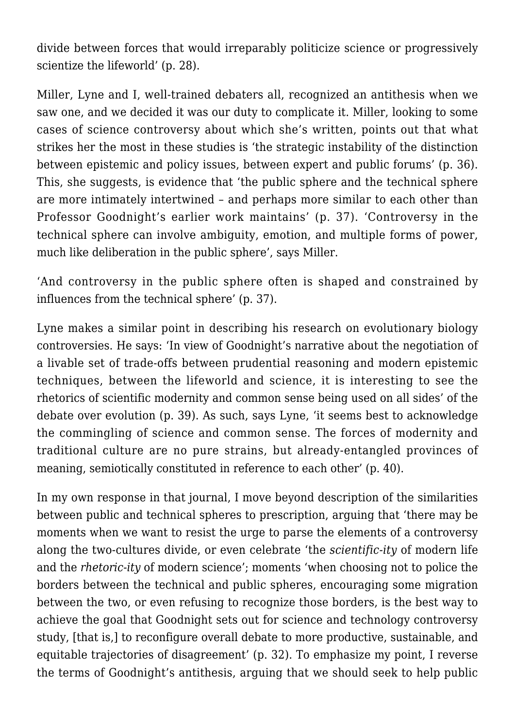divide between forces that would irreparably politicize science or progressively scientize the lifeworld' (p. 28).

Miller, Lyne and I, well-trained debaters all, recognized an antithesis when we saw one, and we decided it was our duty to complicate it. Miller, looking to some cases of science controversy about which she's written, points out that what strikes her the most in these studies is 'the strategic instability of the distinction between epistemic and policy issues, between expert and public forums' (p. 36). This, she suggests, is evidence that 'the public sphere and the technical sphere are more intimately intertwined – and perhaps more similar to each other than Professor Goodnight's earlier work maintains' (p. 37). 'Controversy in the technical sphere can involve ambiguity, emotion, and multiple forms of power, much like deliberation in the public sphere', says Miller.

'And controversy in the public sphere often is shaped and constrained by influences from the technical sphere' (p. 37).

Lyne makes a similar point in describing his research on evolutionary biology controversies. He says: 'In view of Goodnight's narrative about the negotiation of a livable set of trade-offs between prudential reasoning and modern epistemic techniques, between the lifeworld and science, it is interesting to see the rhetorics of scientific modernity and common sense being used on all sides' of the debate over evolution (p. 39). As such, says Lyne, 'it seems best to acknowledge the commingling of science and common sense. The forces of modernity and traditional culture are no pure strains, but already-entangled provinces of meaning, semiotically constituted in reference to each other' (p. 40).

In my own response in that journal, I move beyond description of the similarities between public and technical spheres to prescription, arguing that 'there may be moments when we want to resist the urge to parse the elements of a controversy along the two-cultures divide, or even celebrate 'the *scientific-ity* of modern life and the *rhetoric-ity* of modern science'; moments 'when choosing not to police the borders between the technical and public spheres, encouraging some migration between the two, or even refusing to recognize those borders, is the best way to achieve the goal that Goodnight sets out for science and technology controversy study, [that is,] to reconfigure overall debate to more productive, sustainable, and equitable trajectories of disagreement' (p. 32). To emphasize my point, I reverse the terms of Goodnight's antithesis, arguing that we should seek to help public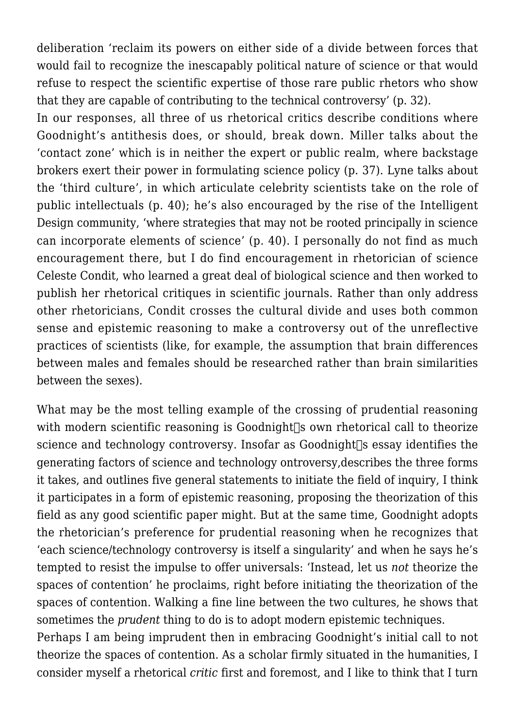deliberation 'reclaim its powers on either side of a divide between forces that would fail to recognize the inescapably political nature of science or that would refuse to respect the scientific expertise of those rare public rhetors who show that they are capable of contributing to the technical controversy' (p. 32).

In our responses, all three of us rhetorical critics describe conditions where Goodnight's antithesis does, or should, break down. Miller talks about the 'contact zone' which is in neither the expert or public realm, where backstage brokers exert their power in formulating science policy (p. 37). Lyne talks about the 'third culture', in which articulate celebrity scientists take on the role of public intellectuals (p. 40); he's also encouraged by the rise of the Intelligent Design community, 'where strategies that may not be rooted principally in science can incorporate elements of science' (p. 40). I personally do not find as much encouragement there, but I do find encouragement in rhetorician of science Celeste Condit, who learned a great deal of biological science and then worked to publish her rhetorical critiques in scientific journals. Rather than only address other rhetoricians, Condit crosses the cultural divide and uses both common sense and epistemic reasoning to make a controversy out of the unreflective practices of scientists (like, for example, the assumption that brain differences between males and females should be researched rather than brain similarities between the sexes).

What may be the most telling example of the crossing of prudential reasoning with modern scientific reasoning is Goodnight $\Box$ s own rhetorical call to theorize science and technology controversy. Insofar as Goodnight $\Box$ s essay identifies the generating factors of science and technology ontroversy,describes the three forms it takes, and outlines five general statements to initiate the field of inquiry, I think it participates in a form of epistemic reasoning, proposing the theorization of this field as any good scientific paper might. But at the same time, Goodnight adopts the rhetorician's preference for prudential reasoning when he recognizes that 'each science/technology controversy is itself a singularity' and when he says he's tempted to resist the impulse to offer universals: 'Instead, let us *not* theorize the spaces of contention' he proclaims, right before initiating the theorization of the spaces of contention. Walking a fine line between the two cultures, he shows that sometimes the *prudent* thing to do is to adopt modern epistemic techniques.

Perhaps I am being imprudent then in embracing Goodnight's initial call to not theorize the spaces of contention. As a scholar firmly situated in the humanities, I consider myself a rhetorical *critic* first and foremost, and I like to think that I turn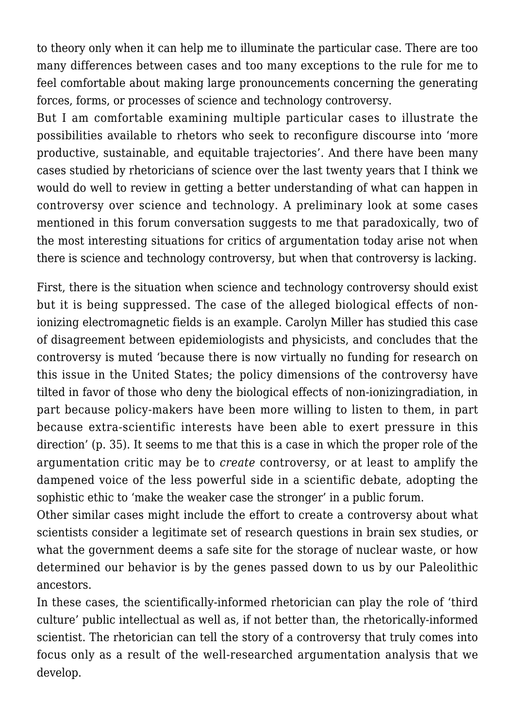to theory only when it can help me to illuminate the particular case. There are too many differences between cases and too many exceptions to the rule for me to feel comfortable about making large pronouncements concerning the generating forces, forms, or processes of science and technology controversy.

But I am comfortable examining multiple particular cases to illustrate the possibilities available to rhetors who seek to reconfigure discourse into 'more productive, sustainable, and equitable trajectories'. And there have been many cases studied by rhetoricians of science over the last twenty years that I think we would do well to review in getting a better understanding of what can happen in controversy over science and technology. A preliminary look at some cases mentioned in this forum conversation suggests to me that paradoxically, two of the most interesting situations for critics of argumentation today arise not when there is science and technology controversy, but when that controversy is lacking.

First, there is the situation when science and technology controversy should exist but it is being suppressed. The case of the alleged biological effects of nonionizing electromagnetic fields is an example. Carolyn Miller has studied this case of disagreement between epidemiologists and physicists, and concludes that the controversy is muted 'because there is now virtually no funding for research on this issue in the United States; the policy dimensions of the controversy have tilted in favor of those who deny the biological effects of non-ionizingradiation, in part because policy-makers have been more willing to listen to them, in part because extra-scientific interests have been able to exert pressure in this direction' (p. 35). It seems to me that this is a case in which the proper role of the argumentation critic may be to *create* controversy, or at least to amplify the dampened voice of the less powerful side in a scientific debate, adopting the sophistic ethic to 'make the weaker case the stronger' in a public forum.

Other similar cases might include the effort to create a controversy about what scientists consider a legitimate set of research questions in brain sex studies, or what the government deems a safe site for the storage of nuclear waste, or how determined our behavior is by the genes passed down to us by our Paleolithic ancestors.

In these cases, the scientifically-informed rhetorician can play the role of 'third culture' public intellectual as well as, if not better than, the rhetorically-informed scientist. The rhetorician can tell the story of a controversy that truly comes into focus only as a result of the well-researched argumentation analysis that we develop.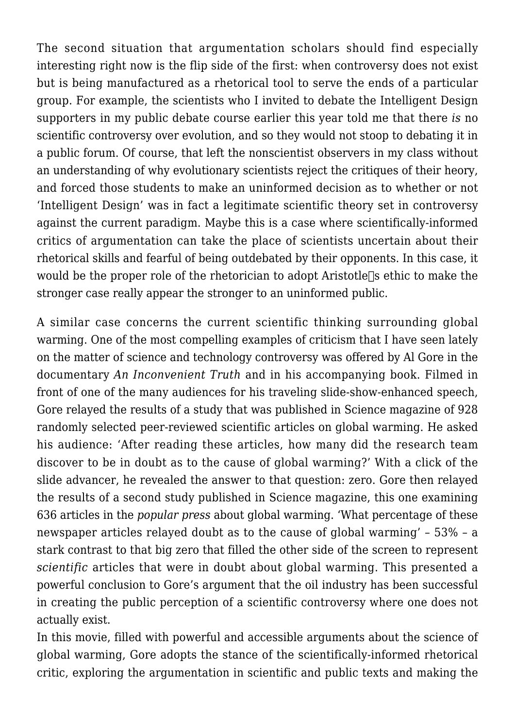The second situation that argumentation scholars should find especially interesting right now is the flip side of the first: when controversy does not exist but is being manufactured as a rhetorical tool to serve the ends of a particular group. For example, the scientists who I invited to debate the Intelligent Design supporters in my public debate course earlier this year told me that there *is* no scientific controversy over evolution, and so they would not stoop to debating it in a public forum. Of course, that left the nonscientist observers in my class without an understanding of why evolutionary scientists reject the critiques of their heory, and forced those students to make an uninformed decision as to whether or not 'Intelligent Design' was in fact a legitimate scientific theory set in controversy against the current paradigm. Maybe this is a case where scientifically-informed critics of argumentation can take the place of scientists uncertain about their rhetorical skills and fearful of being outdebated by their opponents. In this case, it would be the proper role of the rhetorician to adopt Aristotle<sup> $\parallel$ </sup>s ethic to make the stronger case really appear the stronger to an uninformed public.

A similar case concerns the current scientific thinking surrounding global warming. One of the most compelling examples of criticism that I have seen lately on the matter of science and technology controversy was offered by Al Gore in the documentary *An Inconvenient Truth* and in his accompanying book. Filmed in front of one of the many audiences for his traveling slide-show-enhanced speech, Gore relayed the results of a study that was published in Science magazine of 928 randomly selected peer-reviewed scientific articles on global warming. He asked his audience: 'After reading these articles, how many did the research team discover to be in doubt as to the cause of global warming?' With a click of the slide advancer, he revealed the answer to that question: zero. Gore then relayed the results of a second study published in Science magazine, this one examining 636 articles in the *popular press* about global warming. 'What percentage of these newspaper articles relayed doubt as to the cause of global warming' – 53% – a stark contrast to that big zero that filled the other side of the screen to represent *scientific* articles that were in doubt about global warming. This presented a powerful conclusion to Gore's argument that the oil industry has been successful in creating the public perception of a scientific controversy where one does not actually exist.

In this movie, filled with powerful and accessible arguments about the science of global warming, Gore adopts the stance of the scientifically-informed rhetorical critic, exploring the argumentation in scientific and public texts and making the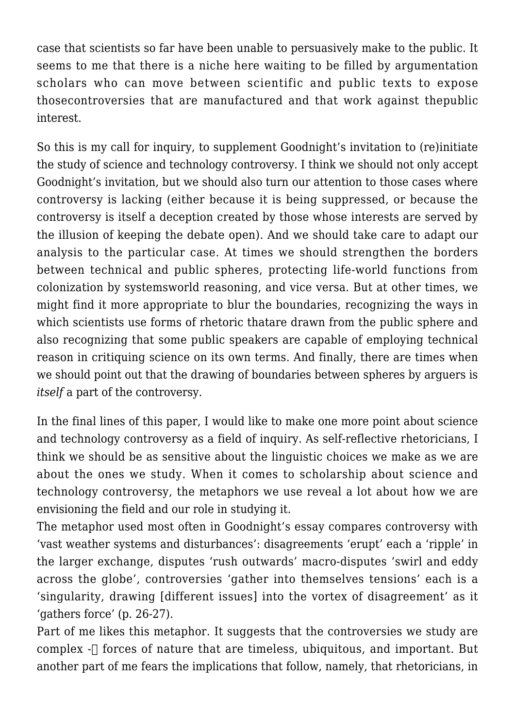case that scientists so far have been unable to persuasively make to the public. It seems to me that there is a niche here waiting to be filled by argumentation scholars who can move between scientific and public texts to expose thosecontroversies that are manufactured and that work against thepublic interest.

So this is my call for inquiry, to supplement Goodnight's invitation to (re)initiate the study of science and technology controversy. I think we should not only accept Goodnight's invitation, but we should also turn our attention to those cases where controversy is lacking (either because it is being suppressed, or because the controversy is itself a deception created by those whose interests are served by the illusion of keeping the debate open). And we should take care to adapt our analysis to the particular case. At times we should strengthen the borders between technical and public spheres, protecting life-world functions from colonization by systemsworld reasoning, and vice versa. But at other times, we might find it more appropriate to blur the boundaries, recognizing the ways in which scientists use forms of rhetoric thatare drawn from the public sphere and also recognizing that some public speakers are capable of employing technical reason in critiquing science on its own terms. And finally, there are times when we should point out that the drawing of boundaries between spheres by arguers is *itself* a part of the controversy.

In the final lines of this paper, I would like to make one more point about science and technology controversy as a field of inquiry. As self-reflective rhetoricians, I think we should be as sensitive about the linguistic choices we make as we are about the ones we study. When it comes to scholarship about science and technology controversy, the metaphors we use reveal a lot about how we are envisioning the field and our role in studying it.

The metaphor used most often in Goodnight's essay compares controversy with 'vast weather systems and disturbances': disagreements 'erupt' each a 'ripple' in the larger exchange, disputes 'rush outwards' macro-disputes 'swirl and eddy across the globe', controversies 'gather into themselves tensions' each is a 'singularity, drawing [different issues] into the vortex of disagreement' as it 'gathers force' (p. 26-27).

Part of me likes this metaphor. It suggests that the controversies we study are complex  $-\Box$  forces of nature that are timeless, ubiquitous, and important. But another part of me fears the implications that follow, namely, that rhetoricians, in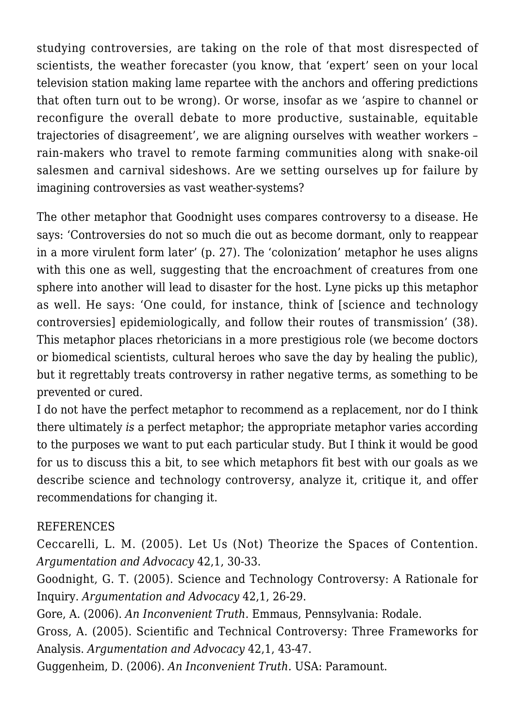studying controversies, are taking on the role of that most disrespected of scientists, the weather forecaster (you know, that 'expert' seen on your local television station making lame repartee with the anchors and offering predictions that often turn out to be wrong). Or worse, insofar as we 'aspire to channel or reconfigure the overall debate to more productive, sustainable, equitable trajectories of disagreement', we are aligning ourselves with weather workers – rain-makers who travel to remote farming communities along with snake-oil salesmen and carnival sideshows. Are we setting ourselves up for failure by imagining controversies as vast weather-systems?

The other metaphor that Goodnight uses compares controversy to a disease. He says: 'Controversies do not so much die out as become dormant, only to reappear in a more virulent form later' (p. 27). The 'colonization' metaphor he uses aligns with this one as well, suggesting that the encroachment of creatures from one sphere into another will lead to disaster for the host. Lyne picks up this metaphor as well. He says: 'One could, for instance, think of [science and technology controversies] epidemiologically, and follow their routes of transmission' (38). This metaphor places rhetoricians in a more prestigious role (we become doctors or biomedical scientists, cultural heroes who save the day by healing the public), but it regrettably treats controversy in rather negative terms, as something to be prevented or cured.

I do not have the perfect metaphor to recommend as a replacement, nor do I think there ultimately *is* a perfect metaphor; the appropriate metaphor varies according to the purposes we want to put each particular study. But I think it would be good for us to discuss this a bit, to see which metaphors fit best with our goals as we describe science and technology controversy, analyze it, critique it, and offer recommendations for changing it.

## REFERENCES

Ceccarelli, L. M. (2005). Let Us (Not) Theorize the Spaces of Contention. *Argumentation and Advocacy* 42,1, 30-33.

Goodnight, G. T. (2005). Science and Technology Controversy: A Rationale for Inquiry. *Argumentation and Advocacy* 42,1, 26-29.

Gore, A. (2006). *An Inconvenient Truth*. Emmaus, Pennsylvania: Rodale.

Gross, A. (2005). Scientific and Technical Controversy: Three Frameworks for Analysis. *Argumentation and Advocacy* 42,1, 43-47.

Guggenheim, D. (2006). *An Inconvenient Truth.* USA: Paramount.